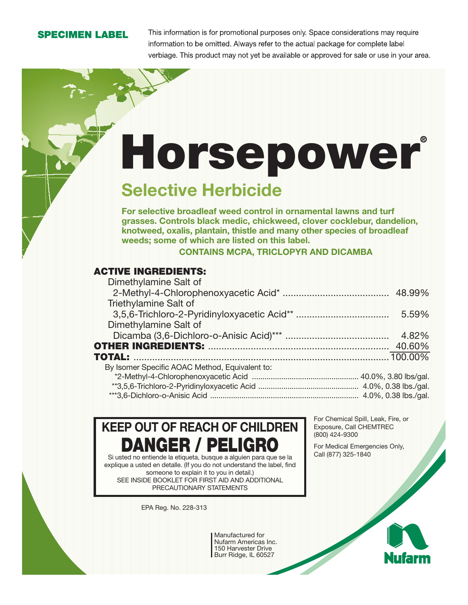#### **SPECIMEN LABEL**

This information is for promotional purposes only. Space considerations may require information to be omitted. Always refer to the actual package for complete label verbiage. This product may not yet be available or approved for sale or use in your area.

# **Horsepower®**

## **Selective Herbicide**

**For selective broadleaf weed control in ornamental lawns and turf grasses. Controls black medic, chickweed, clover cocklebur, dandelion, knotweed, oxalis, plantain, thistle and many other species of broadleaf weeds; some of which are listed on this label.**

**CONTAINS MCPA, TRICLOPYR AND DICAMBA**

#### **ACTIVE INGREDIENTS:**

|        | Dimethylamine Salt of                          |  |         |
|--------|------------------------------------------------|--|---------|
|        |                                                |  |         |
|        | <b>Triethylamine Salt of</b>                   |  |         |
|        |                                                |  | 5.59%   |
|        | Dimethylamine Salt of                          |  |         |
|        |                                                |  | 4.82%   |
|        |                                                |  | 40.60%  |
| TOTAL: |                                                |  | 100.00% |
|        | By Isomer Specific AOAC Method, Equivalent to: |  |         |
|        |                                                |  |         |
|        |                                                |  |         |
|        |                                                |  |         |

**KEEP OUT OF REACH OF CHILDREN DANGER / PELIGRO**

Si usted no entiende la etiqueta, busque a alguien para que se la explique a usted en detalle. (If you do not understand the label, find someone to explain it to you in detail.) SEE INSIDE BOOKLET FOR FIRST AID AND ADDITIONAL PRECAUTIONARY STATEMENTS

EPA Reg. No. 228-313

For Chemical Spill, Leak, Fire, or Exposure, Call CHEMTREC (800) 424-9300

For Medical Emergencies Only, Call (877) 325-1840

Manufactured for Nufarm Americas Inc. 150 Harvester Drive Burr Ridge, IL 60527

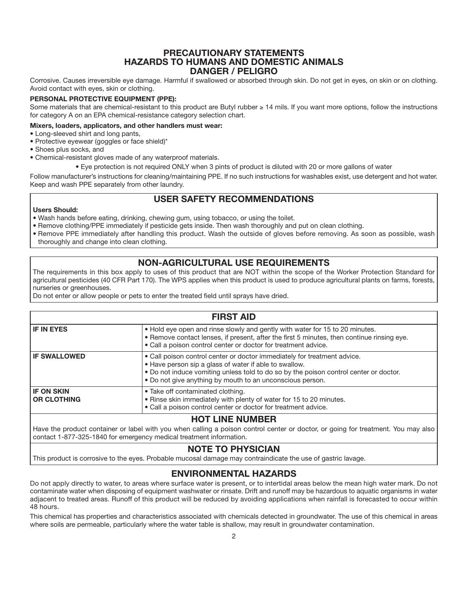#### **PRECAUTIONARY STATEMENTS HAZARDS TO HUMANS AND DOMESTIC ANIMALS DANGER / PELIGRO**

Corrosive. Causes irreversible eye damage. Harmful if swallowed or absorbed through skin. Do not get in eyes, on skin or on clothing. Avoid contact with eyes, skin or clothing.

#### **PERSONAL PROTECTIVE EQUIPMENT (PPE):**

Some materials that are chemical-resistant to this product are Butyl rubber ≥ 14 mils. If you want more options, follow the instructions for category A on an EPA chemical-resistance category selection chart.

#### **Mixers, loaders, applicators, and other handlers must wear:**

- Long-sleeved shirt and long pants,
- Protective eyewear (goggles or face shield)\*
- Shoes plus socks, and
- Chemical-resistant gloves made of any waterproof materials.
	- Eye protection is not required ONLY when 3 pints of product is diluted with 20 or more gallons of water

Follow manufacturer's instructions for cleaning/maintaining PPE. If no such instructions for washables exist, use detergent and hot water. Keep and wash PPE separately from other laundry.

#### **USER SAFETY RECOMMENDATIONS**

#### **Users Should:**

- Wash hands before eating, drinking, chewing gum, using tobacco, or using the toilet.
- Remove clothing/PPE immediately if pesticide gets inside. Then wash thoroughly and put on clean clothing.
- Remove PPE immediately after handling this product. Wash the outside of gloves before removing. As soon as possible, wash thoroughly and change into clean clothing.

#### **NON-AGRICULTURAL USE REQUIREMENTS**

The requirements in this box apply to uses of this product that are NOT within the scope of the Worker Protection Standard for agricultural pesticides (40 CFR Part 170). The WPS applies when this product is used to produce agricultural plants on farms, forests, nurseries or greenhouses.

Do not enter or allow people or pets to enter the treated field until sprays have dried.

#### **FIRST AID IF IN EYES** • Hold eye open and rinse slowly and gently with water for 15 to 20 minutes. • Remove contact lenses, if present, after the first 5 minutes, then continue rinsing eye. • Call a poison control center or doctor for treatment advice. **IF SWALLOWED** • Call poison control center or doctor immediately for treatment advice. • Have person sip a glass of water if able to swallow. • Do not induce vomiting unless told to do so by the poison control center or doctor. • Do not give anything by mouth to an unconscious person. **IF ON SKIN OR CLOTHING** • Take off contaminated clothing. • Rinse skin immediately with plenty of water for 15 to 20 minutes. • Call a poison control center or doctor for treatment advice.

#### **HOT LINE NUMBER**

Have the product container or label with you when calling a poison control center or doctor, or going for treatment. You may also contact 1-877-325-1840 for emergency medical treatment information.

#### **NOTE TO PHYSICIAN**

This product is corrosive to the eyes. Probable mucosal damage may contraindicate the use of gastric lavage.

#### **ENVIRONMENTAL HAZARDS**

Do not apply directly to water, to areas where surface water is present, or to intertidal areas below the mean high water mark. Do not contaminate water when disposing of equipment washwater or rinsate. Drift and runoff may be hazardous to aquatic organisms in water adjacent to treated areas. Runoff of this product will be reduced by avoiding applications when rainfall is forecasted to occur within 48 hours.

This chemical has properties and characteristics associated with chemicals detected in groundwater. The use of this chemical in areas where soils are permeable, particularly where the water table is shallow, may result in groundwater contamination.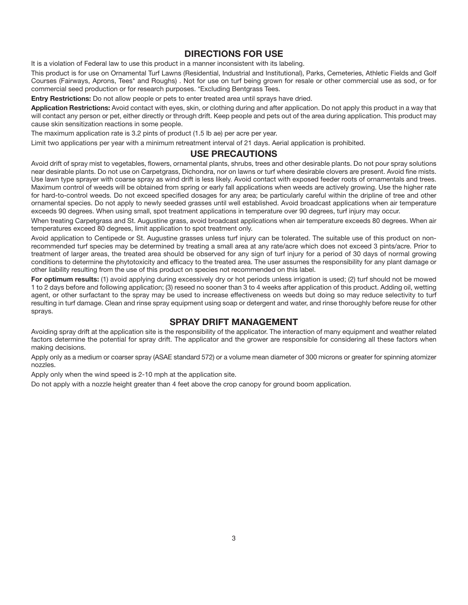#### **DIRECTIONS FOR USE**

It is a violation of Federal law to use this product in a manner inconsistent with its labeling.

This product is for use on Ornamental Turf Lawns (Residential, Industrial and Institutional), Parks, Cemeteries, Athletic Fields and Golf Courses (Fairways, Aprons, Tees\* and Roughs) . Not for use on turf being grown for resale or other commercial use as sod, or for commercial seed production or for research purposes. \*Excluding Bentgrass Tees.

**Entry Restrictions:** Do not allow people or pets to enter treated area until sprays have dried.

**Application Restrictions:** Avoid contact with eyes, skin, or clothing during and after application. Do not apply this product in a way that will contact any person or pet, either directly or through drift. Keep people and pets out of the area during application. This product may cause skin sensitization reactions in some people.

The maximum application rate is 3.2 pints of product (1.5 lb ae) per acre per year.

Limit two applications per year with a minimum retreatment interval of 21 days. Aerial application is prohibited.

#### **USE PRECAUTIONS**

Avoid drift of spray mist to vegetables, flowers, ornamental plants, shrubs, trees and other desirable plants. Do not pour spray solutions near desirable plants. Do not use on Carpetgrass, Dichondra, nor on lawns or turf where desirable clovers are present. Avoid fine mists. Use lawn type sprayer with coarse spray as wind drift is less likely. Avoid contact with exposed feeder roots of ornamentals and trees. Maximum control of weeds will be obtained from spring or early fall applications when weeds are actively growing. Use the higher rate for hard-to-control weeds. Do not exceed specified dosages for any area; be particularly careful within the dripline of tree and other ornamental species. Do not apply to newly seeded grasses until well established. Avoid broadcast applications when air temperature exceeds 90 degrees. When using small, spot treatment applications in temperature over 90 degrees, turf injury may occur.

When treating Carpetgrass and St. Augustine grass, avoid broadcast applications when air temperature exceeds 80 degrees. When air temperatures exceed 80 degrees, limit application to spot treatment only.

Avoid application to Centipede or St. Augustine grasses unless turf injury can be tolerated. The suitable use of this product on nonrecommended turf species may be determined by treating a small area at any rate/acre which does not exceed 3 pints/acre. Prior to treatment of larger areas, the treated area should be observed for any sign of turf injury for a period of 30 days of normal growing conditions to determine the phytotoxicity and efficacy to the treated area. The user assumes the responsibility for any plant damage or other liability resulting from the use of this product on species not recommended on this label.

**For optimum results:** (1) avoid applying during excessively dry or hot periods unless irrigation is used; (2) turf should not be mowed 1 to 2 days before and following application; (3) reseed no sooner than 3 to 4 weeks after application of this product. Adding oil, wetting agent, or other surfactant to the spray may be used to increase effectiveness on weeds but doing so may reduce selectivity to turf resulting in turf damage. Clean and rinse spray equipment using soap or detergent and water, and rinse thoroughly before reuse for other sprays.

#### **SPRAY DRIFT MANAGEMENT**

Avoiding spray drift at the application site is the responsibility of the applicator. The interaction of many equipment and weather related factors determine the potential for spray drift. The applicator and the grower are responsible for considering all these factors when making decisions.

Apply only as a medium or coarser spray (ASAE standard 572) or a volume mean diameter of 300 microns or greater for spinning atomizer nozzles.

Apply only when the wind speed is 2-10 mph at the application site.

Do not apply with a nozzle height greater than 4 feet above the crop canopy for ground boom application.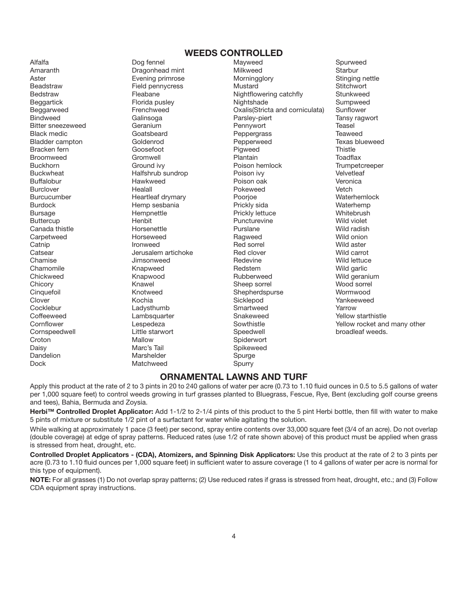#### **WEEDS CONTROLLED**

Dock Matchweed Spurry

Daisy **Marc's Tail** Marc's Tail Spikeweed Dandelion Marshelder Spurge

Alfalfa Dog fennel Mayweed Spurweed Amaranth **Dragonhead mint** Milkweed Starbur Milkweed Starbur Aster **Evening primrose** Morningglory Stinging nettle Morningglory Stinging nettle Beadstraw **Field pennycress** Mustard Mustard Stitchwort Bedstraw Fleabane Nightflowering catchfly Stunkweed Beggartick Florida pusley Nightshade Sumpweed Beggarweed Frenchweed Cxalis(Stricta and corniculata)<br>Bindweed Galinsoga Parsley-piert Bindweed Galinsoga Parsley-piert Tansy ragwort Bitter sneezeweed Geranium Pennywort Teasel Peppergrass<br>Pepperweed Bladder campton Goldenrod Pepperweed Texas blueweed Bracken fern Thistle Goosefoot Thistle Pigweed Pigweed Thistle Broomweed Gromwell Plantain Toadflax Buckhorn Ground ivy Poison hemlock Trumpetcreeper Buckwheat **Halfshrub sundrop** Poison ivy Poison iver Velvetleaf Buffalobur Hawkweed Poison oak Veronica Burclover Healall Pokeweed Vetch Burcucumber Heartleaf drymary Poorjoe Waterhemlock Burdock Hemp sesbania Prickly sida Waterhemp Bursage Hempnettle Prickly lettuce Whitebrush Buttercup Henbit Puncturevine Wild violet Canada thistle **Acker Horsenettle Canada thistle Wild radish** Purslane **Purslane** Wild radish Carpetweed Horseweed Ragweed Wild onion Catnip Ironweed Red sorrel Wild aster Catsear Jerusalem artichoke Red clover Wild carrot Chamise **Glues And Science University Chamise** Chamise Wild lettuce Chamomile Knapweed Redstem Wild garlic Chickweed **Knapwood** Knapwood Rubberweed Wild geranium Chicory **Sheep source Sheep sorrel Sheep sorrel Sheep sorrel Sheep sonrel Sheep Sonrel Sheep Solution** Wood sorrel Cinquefoil Knotweed Shepherdspurse Wormwood Clover Kochia Sicklepod Yankeeweed Cocklebur **Communist Ladysthumb** Smartweed Tarrow Coffeeweed Lambsquarter Snakeweed Yellow starthistle Cornspeedwell **Cornspeedwell** Little starwort **Speedwell** Speedwell broadleaf weeds.<br>Croton Mallow Mallow Spiderwort Spiderwort

Cornflower Cornflower Cornflower Lespedeza Sowthistle Sowthistle Terms and many other<br>Cornspeedwell Cornspeedwell Little starwort Speedwell Speedwell broadleaf weeds.

#### **ORNAMENTAL LAWNS AND TURF**

Apply this product at the rate of 2 to 3 pints in 20 to 240 gallons of water per acre (0.73 to 1.10 fluid ounces in 0.5 to 5.5 gallons of water per 1,000 square feet) to control weeds growing in turf grasses planted to Bluegrass, Fescue, Rye, Bent (excluding golf course greens and tees), Bahia, Bermuda and Zoysia.

**Herbi™ Controlled Droplet Applicator:** Add 1-1/2 to 2-1/4 pints of this product to the 5 pint Herbi bottle, then fill with water to make 5 pints of mixture or substitute 1/2 pint of a surfactant for water while agitating the solution.

While walking at approximately 1 pace (3 feet) per second, spray entire contents over 33,000 square feet (3/4 of an acre). Do not overlap (double coverage) at edge of spray patterns. Reduced rates (use 1/2 of rate shown above) of this product must be applied when grass is stressed from heat, drought, etc.

**Controlled Droplet Applicators - (CDA), Atomizers, and Spinning Disk Applicators:** Use this product at the rate of 2 to 3 pints per acre (0.73 to 1.10 fluid ounces per 1,000 square feet) in sufficient water to assure coverage (1 to 4 gallons of water per acre is normal for this type of equipment).

**NOTE:** For all grasses (1) Do not overlap spray patterns; (2) Use reduced rates if grass is stressed from heat, drought, etc.; and (3) Follow CDA equipment spray instructions.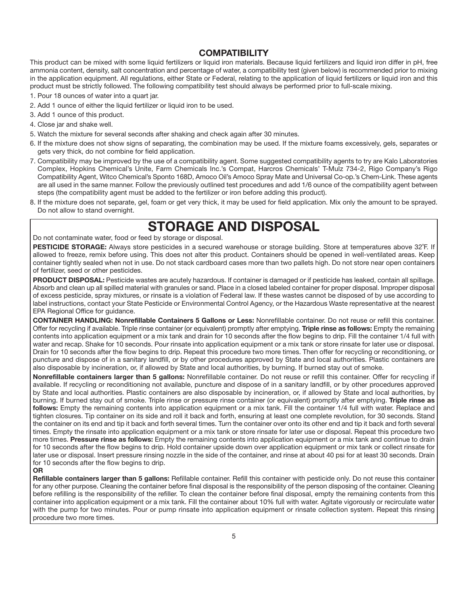#### **COMPATIBILITY**

This product can be mixed with some liquid fertilizers or liquid iron materials. Because liquid fertilizers and liquid iron differ in pH, free ammonia content, density, salt concentration and percentage of water, a compatibility test (given below) is recommended prior to mixing in the application equipment. All regulations, either State or Federal, relating to the application of liquid fertilizers or liquid iron and this product must be strictly followed. The following compatibility test should always be performed prior to full-scale mixing.

- 1. Pour 18 ounces of water into a quart jar.
- 2. Add 1 ounce of either the liquid fertilizer or liquid iron to be used.
- 3. Add 1 ounce of this product.
- 4. Close jar and shake well.
- 5. Watch the mixture for several seconds after shaking and check again after 30 minutes.
- 6. If the mixture does not show signs of separating, the combination may be used. If the mixture foams excessively, gels, separates or gets very thick, do not combine for field application.
- 7. Compatibility may be improved by the use of a compatibility agent. Some suggested compatibility agents to try are Kalo Laboratories Complex, Hopkins Chemical's Unite, Farm Chemicals Inc.'s Compat, Harcros Chemicals' T-Mulz 734-2, Rigo Company's Rigo Compatibility Agent, Witco Chemical's Sponto 168D, Amoco Oil's Amoco Spray Mate and Universal Co-op.'s Chem-Link. These agents are all used in the same manner. Follow the previously outlined test procedures and add 1/6 ounce of the compatibility agent between steps (the compatibility agent must be added to the fertilizer or iron before adding this product).
- 8. If the mixture does not separate, gel, foam or get very thick, it may be used for field application. Mix only the amount to be sprayed. Do not allow to stand overnight.

### **STORAGE AND DISPOSAL**

Do not contaminate water, food or feed by storage or disposal.

**PESTICIDE STORAGE:** Always store pesticides in a secured warehouse or storage building. Store at temperatures above 32˚F. If allowed to freeze, remix before using. This does not alter this product. Containers should be opened in well-ventilated areas. Keep container tightly sealed when not in use. Do not stack cardboard cases more than two pallets high. Do not store near open containers of fertilizer, seed or other pesticides.

**PRODUCT DISPOSAL:** Pesticide wastes are acutely hazardous. If container is damaged or if pesticide has leaked, contain all spillage. Absorb and clean up all spilled material with granules or sand. Place in a closed labeled container for proper disposal. Improper disposal of excess pesticide, spray mixtures, or rinsate is a violation of Federal law. If these wastes cannot be disposed of by use according to label instructions, contact your State Pesticide or Environmental Control Agency, or the Hazardous Waste representative at the nearest EPA Regional Office for guidance.

**CONTAINER HANDLING: Nonrefillable Containers 5 Gallons or Less:** Nonrefillable container. Do not reuse or refill this container. Offer for recycling if available. Triple rinse container (or equivalent) promptly after emptying. **Triple rinse as follows:** Empty the remaining contents into application equipment or a mix tank and drain for 10 seconds after the flow begins to drip. Fill the container 1/4 full with water and recap. Shake for 10 seconds. Pour rinsate into application equipment or a mix tank or store rinsate for later use or disposal. Drain for 10 seconds after the flow begins to drip. Repeat this procedure two more times. Then offer for recycling or reconditioning, or puncture and dispose of in a sanitary landfill, or by other procedures approved by State and local authorities. Plastic containers are also disposable by incineration, or, if allowed by State and local authorities, by burning. If burned stay out of smoke.

**Nonrefillable containers larger than 5 gallons:** Nonrefillable container. Do not reuse or refill this container. Offer for recycling if available. If recycling or reconditioning not available, puncture and dispose of in a sanitary landfill, or by other procedures approved by State and local authorities. Plastic containers are also disposable by incineration, or, if allowed by State and local authorities, by burning. If burned stay out of smoke. Triple rinse or pressure rinse container (or equivalent) promptly after emptying. **Triple rinse as follows:** Empty the remaining contents into application equipment or a mix tank. Fill the container 1/4 full with water. Replace and tighten closures. Tip container on its side and roll it back and forth, ensuring at least one complete revolution, for 30 seconds. Stand the container on its end and tip it back and forth several times. Turn the container over onto its other end and tip it back and forth several times. Empty the rinsate into application equipment or a mix tank or store rinsate for later use or disposal. Repeat this procedure two more times. **Pressure rinse as follows:** Empty the remaining contents into application equipment or a mix tank and continue to drain for 10 seconds after the flow begins to drip. Hold container upside down over application equipment or mix tank or collect rinsate for later use or disposal. Insert pressure rinsing nozzle in the side of the container, and rinse at about 40 psi for at least 30 seconds. Drain for 10 seconds after the flow begins to drip.

**OR**

**Refillable containers larger than 5 gallons:** Refillable container. Refill this container with pesticide only. Do not reuse this container for any other purpose. Cleaning the container before final disposal is the responsibility of the person disposing of the container. Cleaning before refilling is the responsibility of the refiller. To clean the container before final disposal, empty the remaining contents from this container into application equipment or a mix tank. Fill the container about 10% full with water. Agitate vigorously or recirculate water with the pump for two minutes. Pour or pump rinsate into application equipment or rinsate collection system. Repeat this rinsing procedure two more times.